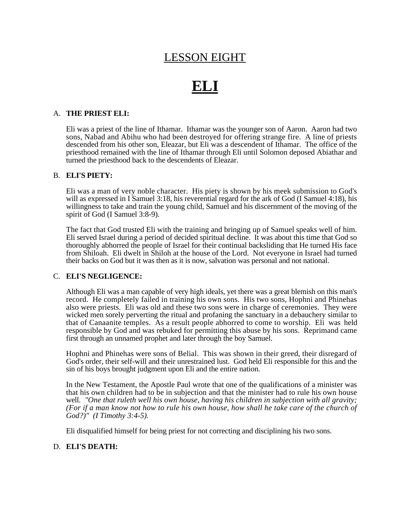## LESSON EIGHT

# **ELI**

#### A. **THE PRIEST ELI:**

Eli was a priest of the line of Ithamar. Ithamar was the younger son of Aaron. Aaron had two sons, Nabad and Abihu who had been destroyed for offering strange fire. A line of priests descended from his other son, Eleazar, but Eli was a descendent of Ithamar. The office of the priesthood remained with the line of Ithamar through Eli until Solomon deposed Abiathar and turned the priesthood back to the descendents of Eleazar.

#### B. **ELI'S PIETY:**

Eli was a man of very noble character. His piety is shown by his meek submission to God's will as expressed in I Samuel 3:18, his reverential regard for the ark of God (I Samuel 4:18), his willingness to take and train the young child, Samuel and his discernment of the moving of the spirit of God (I Samuel 3:8-9).

The fact that God trusted Eli with the training and bringing up of Samuel speaks well of him. Eli served Israel during a period of decided spiritual decline. It was about this time that God so thoroughly abhorred the people of Israel for their continual backsliding that He turned His face from Shiloah. Eli dwelt in Shiloh at the house of the Lord. Not everyone in Israel had turned their backs on God but it was then as it is now, salvation was personal and not national.

#### C. **ELI'S NEGLIGENCE:**

Although Eli was a man capable of very high ideals, yet there was a great blemish on this man's record. He completely failed in training his own sons. His two sons, Hophni and Phinehas also were priests. Eli was old and these two sons were in charge of ceremonies. They were wicked men sorely perverting the ritual and profaning the sanctuary in a debauchery similar to that of Canaanite temples. As a result people abhorred to come to worship. Eli was held responsible by God and was rebuked for permitting this abuse by his sons. Reprimand came first through an unnamed prophet and later through the boy Samuel.

Hophni and Phinehas were sons of Belial. This was shown in their greed, their disregard of God's order, their self-will and their unrestrained lust. God held Eli responsible for this and the sin of his boys brought judgment upon Eli and the entire nation.

In the New Testament, the Apostle Paul wrote that one of the qualifications of a minister was that his own children had to be in subjection and that the minister had to rule his own house well. *"One that ruleth well his own house, having his children in subjection with all gravity; (For if a man know not how to rule his own house, how shall he take care of the church of God?)" (I Timothy 3:4-5).*

Eli disqualified himself for being priest for not correcting and disciplining his two sons.

#### D. **ELI'S DEATH:**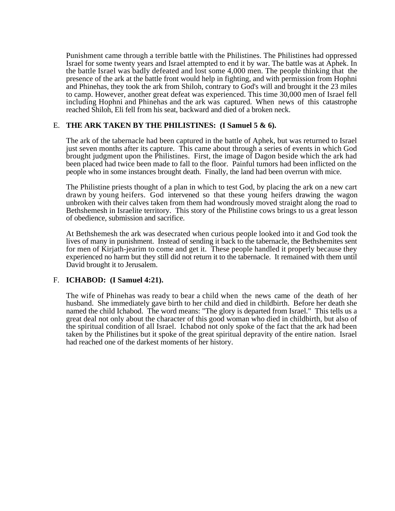Punishment came through a terrible battle with the Philistines. The Philistines had oppressed Israel for some twenty years and Israel attempted to end it by war. The battle was at Aphek. In the battle Israel was badly defeated and lost some 4,000 men. The people thinking that the presence of the ark at the battle front would help in fighting, and with permission from Hophni and Phinehas, they took the ark from Shiloh, contrary to God's will and brought it the 23 miles to camp. However, another great defeat was experienced. This time 30,000 men of Israel fell including Hophni and Phinehas and the ark was captured. When news of this catastrophe reached Shiloh, Eli fell from his seat, backward and died of a broken neck.

#### E. **THE ARK TAKEN BY THE PHILISTINES: (I Samuel 5 & 6).**

The ark of the tabernacle had been captured in the battle of Aphek, but was returned to Israel just seven months after its capture. This came about through a series of events in which God brought judgment upon the Philistines. First, the image of Dagon beside which the ark had been placed had twice been made to fall to the floor. Painful tumors had been inflicted on the people who in some instances brought death. Finally, the land had been overrun with mice.

The Philistine priests thought of a plan in which to test God, by placing the ark on a new cart drawn by young heifers. God intervened so that these young heifers drawing the wagon unbroken with their calves taken from them had wondrously moved straight along the road to Bethshemesh in Israelite territory. This story of the Philistine cows brings to us a great lesson of obedience, submission and sacrifice.

At Bethshemesh the ark was desecrated when curious people looked into it and God took the lives of many in punishment. Instead of sending it back to the tabernacle, the Bethshemites sent for men of Kirjath-jearim to come and get it. These people handled it properly because they experienced no harm but they still did not return it to the tabernacle. It remained with them until David brought it to Jerusalem.

#### F. **ICHABOD: (I Samuel 4:21).**

The wife of Phinehas was ready to bear a child when the news came of the death of her husband. She immediately gave birth to her child and died in childbirth. Before her death she named the child Ichabod. The word means: "The glory is departed from Israel." This tells us a great deal not only about the character of this good woman who died in childbirth, but also of the spiritual condition of all Israel. Ichabod not only spoke of the fact that the ark had been taken by the Philistines but it spoke of the great spiritual depravity of the entire nation. Israel had reached one of the darkest moments of her history.